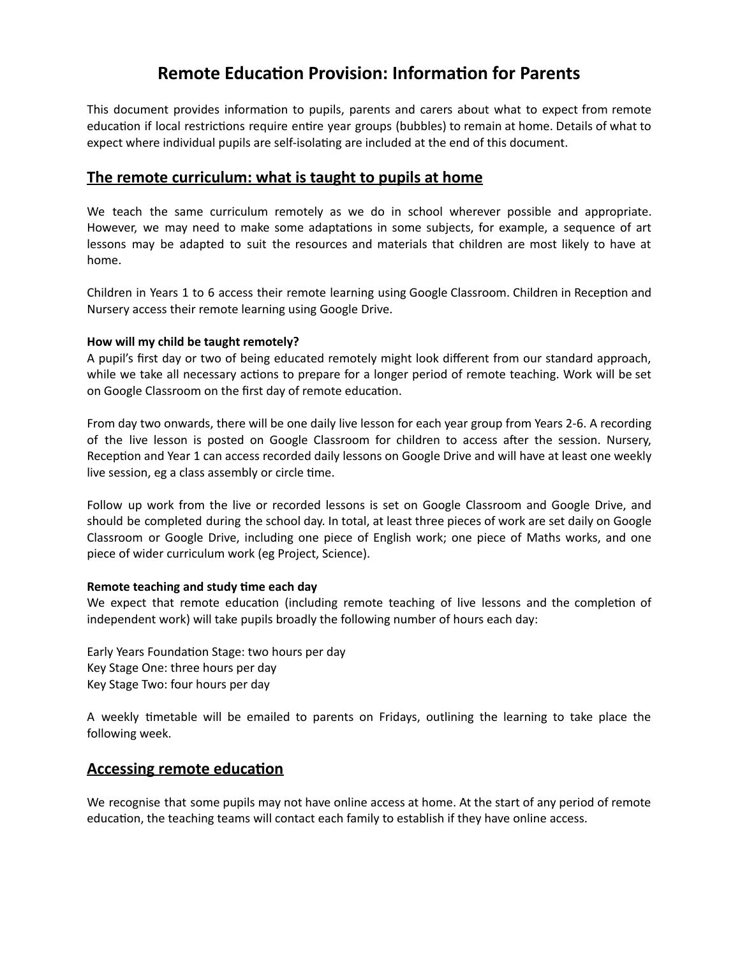# **Remote Education Provision: Information for Parents**

This document provides information to pupils, parents and carers about what to expect from remote education if local restrictions require entire year groups (bubbles) to remain at home. Details of what to expect where individual pupils are self-isolating are included at the end of this document.

## **The remote curriculum: what is taught to pupils at home**

We teach the same curriculum remotely as we do in school wherever possible and appropriate. However, we may need to make some adaptations in some subjects, for example, a sequence of art lessons may be adapted to suit the resources and materials that children are most likely to have at home.

Children in Years 1 to 6 access their remote learning using Google Classroom. Children in Reception and Nursery access their remote learning using Google Drive.

#### **How will my child be taught remotely?**

A pupil's first day or two of being educated remotely might look different from our standard approach, while we take all necessary actions to prepare for a longer period of remote teaching. Work will be set on Google Classroom on the first day of remote education.

From day two onwards, there will be one daily live lesson for each year group from Years 2-6. A recording of the live lesson is posted on Google Classroom for children to access after the session. Nursery, Reception and Year 1 can access recorded daily lessons on Google Drive and will have at least one weekly live session, eg a class assembly or circle time.

Follow up work from the live or recorded lessons is set on Google Classroom and Google Drive, and should be completed during the school day. In total, at least three pieces of work are set daily on Google Classroom or Google Drive, including one piece of English work; one piece of Maths works, and one piece of wider curriculum work (eg Project, Science).

#### **Remote teaching and study me each day**

We expect that remote education (including remote teaching of live lessons and the completion of independent work) will take pupils broadly the following number of hours each day:

Early Years Foundation Stage: two hours per day Key Stage One: three hours per day Key Stage Two: four hours per day

A weekly timetable will be emailed to parents on Fridays, outlining the learning to take place the following week.

## **Accessing remote education**

We recognise that some pupils may not have online access at home. At the start of any period of remote education, the teaching teams will contact each family to establish if they have online access.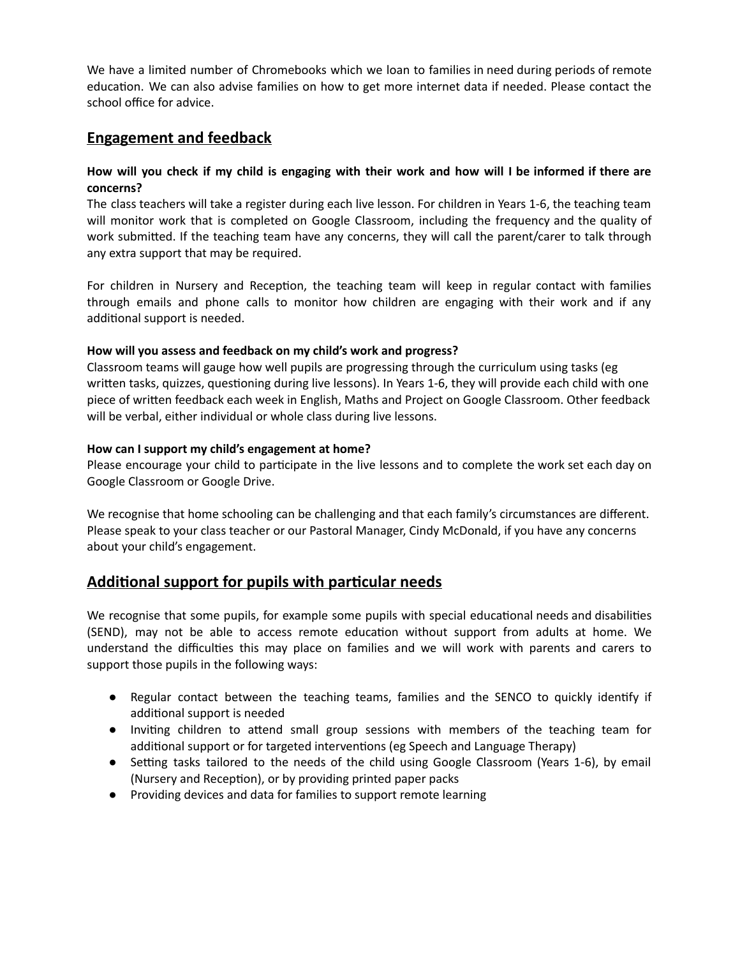We have a limited number of Chromebooks which we loan to families in need during periods of remote education. We can also advise families on how to get more internet data if needed. Please contact the school office for advice.

## **Engagement and feedback**

#### How will you check if my child is engaging with their work and how will I be informed if there are **concerns?**

The class teachers will take a register during each live lesson. For children in Years 1-6, the teaching team will monitor work that is completed on Google Classroom, including the frequency and the quality of work submitted. If the teaching team have any concerns, they will call the parent/carer to talk through any extra support that may be required.

For children in Nursery and Reception, the teaching team will keep in regular contact with families through emails and phone calls to monitor how children are engaging with their work and if any additional support is needed.

#### **How will you assess and feedback on my child's work and progress?**

Classroom teams will gauge how well pupils are progressing through the curriculum using tasks (eg written tasks, quizzes, questioning during live lessons). In Years 1-6, they will provide each child with one piece of written feedback each week in English, Maths and Project on Google Classroom. Other feedback will be verbal, either individual or whole class during live lessons.

#### **How can I support my child's engagement at home?**

Please encourage your child to participate in the live lessons and to complete the work set each day on Google Classroom or Google Drive.

We recognise that home schooling can be challenging and that each family's circumstances are different. Please speak to your class teacher or our Pastoral Manager, Cindy McDonald, if you have any concerns about your child's engagement.

## **Additional support for pupils with particular needs**

We recognise that some pupils, for example some pupils with special educational needs and disabilities (SEND), may not be able to access remote education without support from adults at home. We understand the difficulties this may place on families and we will work with parents and carers to support those pupils in the following ways:

- Regular contact between the teaching teams, families and the SENCO to quickly identify if additional support is needed
- Inviting children to attend small group sessions with members of the teaching team for additional support or for targeted interventions (eg Speech and Language Therapy)
- Setting tasks tailored to the needs of the child using Google Classroom (Years 1-6), by email (Nursery and Reception), or by providing printed paper packs
- Providing devices and data for families to support remote learning